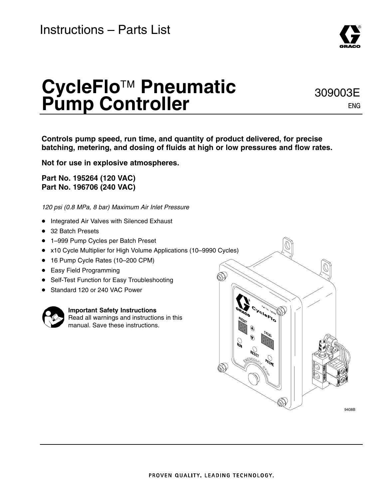# **CycleFlo**™ **Pneumatic Pump Controller**

**Controls pump speed, run time, and quantity of product delivered, for precise batching, metering, and dosing of fluids at high or low pressures and flow rates.**

**Not for use in explosive atmospheres.**

**Part No. 195264 (120 VAC) Part No. 196706 (240 VAC)**

*120 psi (0.8 MPa, 8 bar) Maximum Air Inlet Pressure*

- **•** Integrated Air Valves with Silenced Exhaust
- 32 Batch Presets
- 1-999 Pump Cycles per Batch Preset
- x10 Cycle Multiplier for High Volume Applications (10–9990 Cycles)
- 16 Pump Cycle Rates (10-200 CPM)
- Easy Field Programming
- Self-Test Function for Easy Troubleshooting
- Standard 120 or 240 VAC Power



**Important Safety Instructions** Read all warnings and instructions in this

manual. Save these instructions.





9408B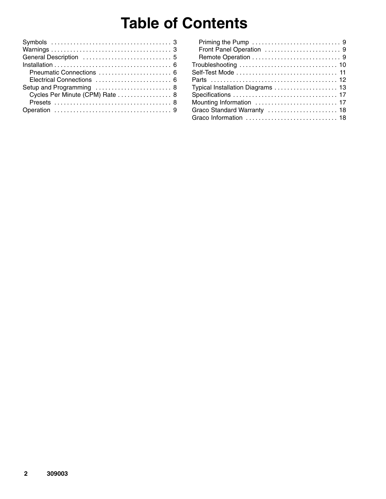## **Table of Contents**

| Setup and Programming  8        |
|---------------------------------|
| Cycles Per Minute (CPM) Rate  8 |
|                                 |
|                                 |
|                                 |

| Typical Installation Diagrams 13 |
|----------------------------------|
|                                  |
|                                  |
| Graco Standard Warranty  18      |
| Graco Information  18            |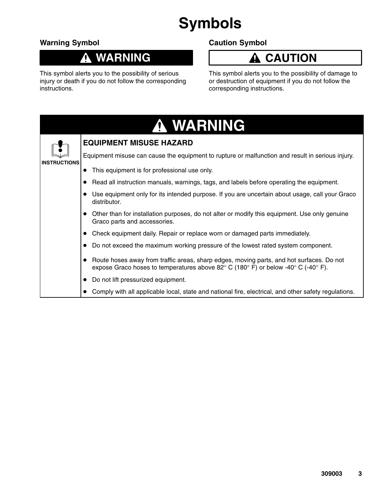# **Symbols**

### **Warning Symbol**

#### **WARNING** 0

This symbol alerts you to the possibility of serious injury or death if you do not follow the corresponding instructions.

### **Caution Symbol**

### **A** CAUTION

This symbol alerts you to the possibility of damage to or destruction of equipment if you do not follow the corresponding instructions.

|              | A WARNING                                                                                                                                                                                                         |  |  |
|--------------|-------------------------------------------------------------------------------------------------------------------------------------------------------------------------------------------------------------------|--|--|
|              | <b>EQUIPMENT MISUSE HAZARD</b>                                                                                                                                                                                    |  |  |
| INSTRUCTIONS | Equipment misuse can cause the equipment to rupture or malfunction and result in serious injury.                                                                                                                  |  |  |
|              | This equipment is for professional use only.                                                                                                                                                                      |  |  |
|              | Read all instruction manuals, warnings, tags, and labels before operating the equipment.                                                                                                                          |  |  |
|              | Use equipment only for its intended purpose. If you are uncertain about usage, call your Graco<br>distributor.                                                                                                    |  |  |
|              | Other than for installation purposes, do not alter or modify this equipment. Use only genuine<br>Graco parts and accessories.                                                                                     |  |  |
|              | Check equipment daily. Repair or replace worn or damaged parts immediately.                                                                                                                                       |  |  |
|              | Do not exceed the maximum working pressure of the lowest rated system component.                                                                                                                                  |  |  |
|              | Route hoses away from traffic areas, sharp edges, moving parts, and hot surfaces. Do not<br>expose Graco hoses to temperatures above 82 $\degree$ C (180 $\degree$ F) or below -40 $\degree$ C (-40 $\degree$ F). |  |  |
|              | Do not lift pressurized equipment.                                                                                                                                                                                |  |  |
|              | Comply with all applicable local, state and national fire, electrical, and other safety regulations.                                                                                                              |  |  |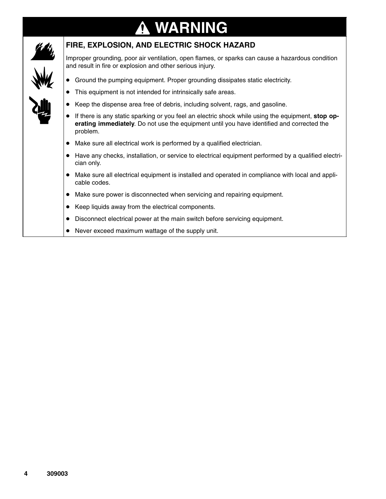### **WARNING**  $\mathbf{\Psi}$



#### **FIRE, EXPLOSION, AND ELECTRIC SHOCK HAZARD**

Improper grounding, poor air ventilation, open flames, or sparks can cause a hazardous condition and result in fire or explosion and other serious injury.

- Ground the pumping equipment. Proper grounding dissipates static electricity.
- $\bullet$ This equipment is not intended for intrinsically safe areas.
- $\bullet$ Keep the dispense area free of debris, including solvent, rags, and gasoline.
- $\bullet$  If there is any static sparking or you feel an electric shock while using the equipment, **stop operating immediately**. Do not use the equipment until you have identified and corrected the problem.
- Make sure all electrical work is performed by a qualified electrician.
- $\bullet$  Have any checks, installation, or service to electrical equipment performed by a qualified electrician only.
- Make sure all electrical equipment is installed and operated in compliance with local and applicable codes.
- Make sure power is disconnected when servicing and repairing equipment.
- $\bullet$ Keep liquids away from the electrical components.
- $\bullet$ Disconnect electrical power at the main switch before servicing equipment.
- $\bullet$ Never exceed maximum wattage of the supply unit.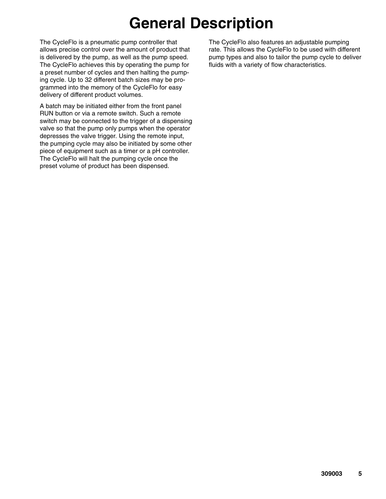## **General Description**

The CycleFlo is a pneumatic pump controller that allows precise control over the amount of product that is delivered by the pump, as well as the pump speed. The CycleFlo achieves this by operating the pump for a preset number of cycles and then halting the pumping cycle. Up to 32 different batch sizes may be programmed into the memory of the CycleFlo for easy delivery of different product volumes.

A batch may be initiated either from the front panel RUN button or via a remote switch. Such a remote switch may be connected to the trigger of a dispensing valve so that the pump only pumps when the operator depresses the valve trigger. Using the remote input, the pumping cycle may also be initiated by some other piece of equipment such as a timer or a pH controller. The CycleFlo will halt the pumping cycle once the preset volume of product has been dispensed.

The CycleFlo also features an adjustable pumping rate. This allows the CycleFlo to be used with different pump types and also to tailor the pump cycle to deliver fluids with a variety of flow characteristics.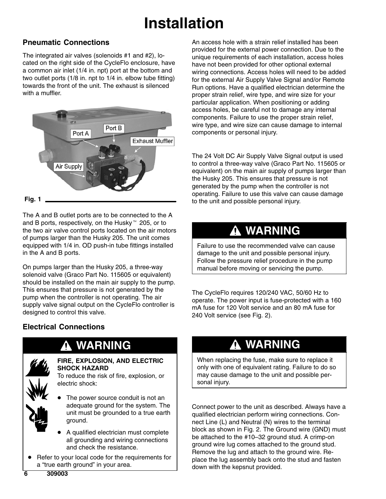# **Installation**

### **Pneumatic Connections**

The integrated air valves (solenoids #1 and #2), located on the right side of the CycleFlo enclosure, have a common air inlet (1/4 in. npt) port at the bottom and two outlet ports (1/8 in. npt to 1/4 in. elbow tube fitting) towards the front of the unit. The exhaust is silenced with a muffler.



**Fig. 1**

The A and B outlet ports are to be connected to the A and B ports, respectively, on the Husky<sup>™</sup> 205, or to the two air valve control ports located on the air motors of pumps larger than the Husky 205. The unit comes equipped with 1/4 in. OD push-in tube fittings installed in the A and B ports.

On pumps larger than the Husky 205, a three-way solenoid valve (Graco Part No. 115605 or equivalent) should be installed on the main air supply to the pump. This ensures that pressure is not generated by the pump when the controller is not operating. The air supply valve signal output on the CycleFlo controller is designed to control this valve.

#### An access hole with a strain relief installed has been provided for the external power connection. Due to the unique requirements of each installation, access holes have not been provided for other optional external wiring connections. Access holes will need to be added for the external Air Supply Valve Signal and/or Remote Run options. Have a qualified electrician determine the proper strain relief, wire type, and wire size for your particular application. When positioning or adding access holes, be careful not to damage any internal components. Failure to use the proper strain relief, wire type, and wire size can cause damage to internal components or personal injury.

The 24 Volt DC Air Supply Valve Signal output is used to control a three-way valve (Graco Part No. 115605 or equivalent) on the main air supply of pumps larger than the Husky 205. This ensures that pressure is not generated by the pump when the controller is not operating. Failure to use this valve can cause damage to the unit and possible personal injury.

### **WARNING**

Failure to use the recommended valve can cause damage to the unit and possible personal injury. Follow the pressure relief procedure in the pump manual before moving or servicing the pump.

The CycleFlo requires 120/240 VAC, 50/60 Hz to operate. The power input is fuse-protected with a 160 mA fuse for 120 Volt service and an 80 mA fuse for 240 Volt service (see Fig. 2).

### **Electrical Connections**

### **WARNING**



#### **FIRE, EXPLOSION, AND ELECTRIC SHOCK HAZARD**

To reduce the risk of fire, explosion, or electric shock:

- $\bullet$  The power source conduit is not an adequate ground for the system. The unit must be grounded to a true earth ground.
- $\bullet$  A qualified electrician must complete all grounding and wiring connections and check the resistance.
- $\bullet$  Refer to your local code for the requirements for a "true earth ground" in your area.

### **WARNING**

When replacing the fuse, make sure to replace it only with one of equivalent rating. Failure to do so may cause damage to the unit and possible personal injury.

Connect power to the unit as described. Always have a qualified electrician perform wiring connections. Connect Line (L) and Neutral (N) wires to the terminal block as shown in Fig. 2. The Ground wire (GND) must be attached to the #10–32 ground stud. A crimp-on ground wire lug comes attached to the ground stud. Remove the lug and attach to the ground wire. Replace the lug assembly back onto the stud and fasten down with the kepsnut provided.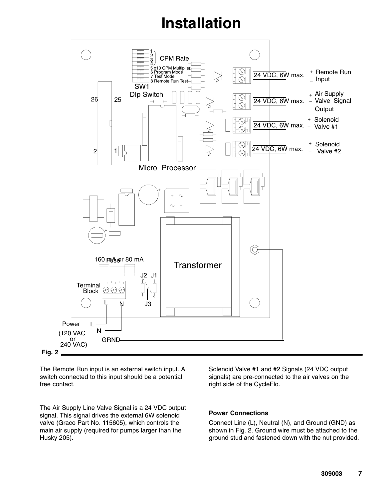## **Installation**



The Remote Run input is an external switch input. A switch connected to this input should be a potential free contact.

The Air Supply Line Valve Signal is a 24 VDC output signal. This signal drives the external 6W solenoid valve (Graco Part No. 115605), which controls the main air supply (required for pumps larger than the Husky 205).

Solenoid Valve #1 and #2 Signals (24 VDC output signals) are pre-connected to the air valves on the right side of the CycleFlo.

#### **Power Connections**

Connect Line (L), Neutral (N), and Ground (GND) as shown in Fig. 2. Ground wire must be attached to the ground stud and fastened down with the nut provided.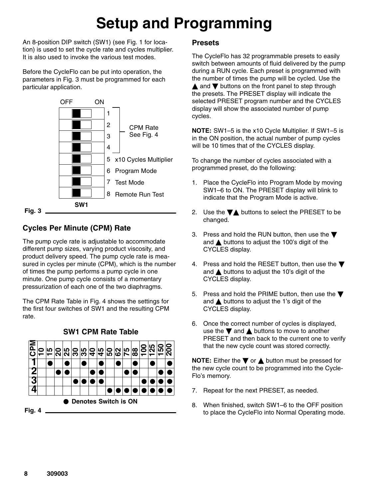# **Setup and Programming**

An 8-position DIP switch (SW1) (see Fig. 1 for location) is used to set the cycle rate and cycles multiplier. It is also used to invoke the various test modes.

Before the CycleFlo can be put into operation, the parameters in Fig. 3 must be programmed for each particular application.



### **Cycles Per Minute (CPM) Rate**

The pump cycle rate is adjustable to accommodate different pump sizes, varying product viscosity, and product delivery speed. The pump cycle rate is measured in cycles per minute (CPM), which is the number of times the pump performs a pump cycle in one minute. One pump cycle consists of a momentary pressurization of each one of the two diaphragms.

The CPM Rate Table in Fig. 4 shows the settings for the first four switches of SW1 and the resulting CPM rate.



**SW1 CPM Rate Table**

#### **Presets**

The CycleFlo has 32 programmable presets to easily switch between amounts of fluid delivered by the pump during a RUN cycle. Each preset is programmed with the number of times the pump will be cycled. Use the  $\triangle$  and  $\nabla$  buttons on the front panel to step through the presets. The PRESET display will indicate the selected PRESET program number and the CYCLES display will show the associated number of pump cycles.

**NOTE:** SW1–5 is the x10 Cycle Multiplier. If SW1–5 is in the ON position, the actual number of pump cycles will be 10 times that of the CYCLES display.

To change the number of cycles associated with a programmed preset, do the following:

- 1. Place the CycleFlo into Program Mode by moving SW1–6 to ON. The PRESET display will blink to indicate that the Program Mode is active.
- 2. Use the  $\nabla$  buttons to select the PRESET to be changed.
- 3. Press and hold the RUN button, then use the  $\blacktriangledown$ and  $\triangle$  buttons to adjust the 100's digit of the CYCLES display.
- 4. Press and hold the RESET button, then use the  $\blacktriangledown$ and  $\triangle$  buttons to adjust the 10's digit of the CYCLES display.
- 5. Press and hold the PRIME button, then use the  $\blacktriangledown$ and  $\triangle$  buttons to adjust the 1's digit of the CYCLES display.
- 6. Once the correct number of cycles is displayed, use the  $\nabla$  and  $\triangle$  buttons to move to another PRESET and then back to the current one to verify that the new cycle count was stored correctly.

**NOTE:** Either the  $\nabla$  or  $\triangle$  button must be pressed for the new cycle count to be programmed into the Cycle-Flo's memory.

- 7. Repeat for the next PRESET, as needed.
- 8. When finished, switch SW1–6 to the OFF position to place the CycleFlo into Normal Operating mode.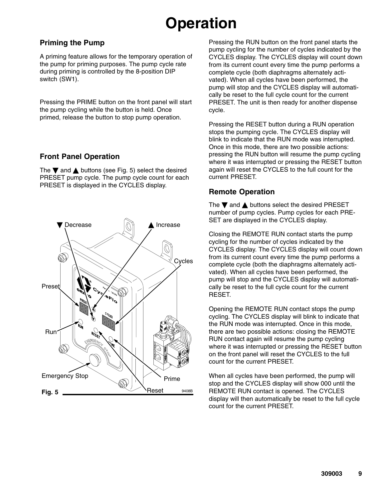## **Operation**

#### **Priming the Pump**

A priming feature allows for the temporary operation of the pump for priming purposes. The pump cycle rate during priming is controlled by the 8-position DIP switch (SW1).

Pressing the PRIME button on the front panel will start the pump cycling while the button is held. Once primed, release the button to stop pump operation.

#### **Front Panel Operation**

The  $\nabla$  and  $\triangle$  buttons (see Fig. 5) select the desired PRESET pump cycle. The pump cycle count for each PRESET is displayed in the CYCLES display.



Pressing the RUN button on the front panel starts the pump cycling for the number of cycles indicated by the CYCLES display. The CYCLES display will count down from its current count every time the pump performs a complete cycle (both diaphragms alternately activated). When all cycles have been performed, the pump will stop and the CYCLES display will automatically be reset to the full cycle count for the current PRESET. The unit is then ready for another dispense cycle.

Pressing the RESET button during a RUN operation stops the pumping cycle. The CYCLES display will blink to indicate that the RUN mode was interrupted. Once in this mode, there are two possible actions: pressing the RUN button will resume the pump cycling where it was interrupted or pressing the RESET button again will reset the CYCLES to the full count for the current PRESET.

### **Remote Operation**

The  $\nabla$  and  $\triangle$  buttons select the desired PRESET number of pump cycles. Pump cycles for each PRE-SET are displayed in the CYCLES display.

Closing the REMOTE RUN contact starts the pump cycling for the number of cycles indicated by the CYCLES display. The CYCLES display will count down from its current count every time the pump performs a complete cycle (both the diaphragms alternately activated). When all cycles have been performed, the pump will stop and the CYCLES display will automatically be reset to the full cycle count for the current RESET.

Opening the REMOTE RUN contact stops the pump cycling. The CYCLES display will blink to indicate that the RUN mode was interrupted. Once in this mode, there are two possible actions: closing the REMOTE RUN contact again will resume the pump cycling where it was interrupted or pressing the RESET button on the front panel will reset the CYCLES to the full count for the current PRESET.

When all cycles have been performed, the pump will stop and the CYCLES display will show 000 until the REMOTE RUN contact is opened. The CYCLES display will then automatically be reset to the full cycle count for the current PRESET.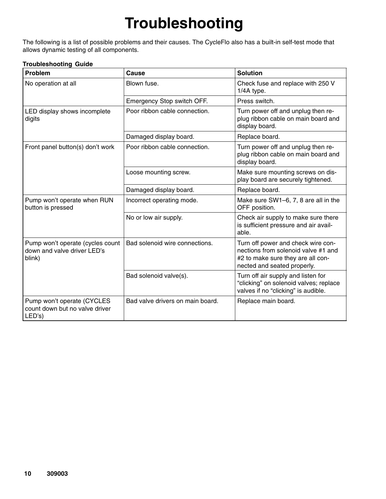# **Troubleshooting**

The following is a list of possible problems and their causes. The CycleFlo also has a built-in self-test mode that allows dynamic testing of all components.

#### **Troubleshooting Guide**

| Problem                                                                   | Cause                            | <b>Solution</b>                                                                                                                               |
|---------------------------------------------------------------------------|----------------------------------|-----------------------------------------------------------------------------------------------------------------------------------------------|
| No operation at all                                                       | Blown fuse.                      | Check fuse and replace with 250 V<br>1/4A type.                                                                                               |
|                                                                           | Emergency Stop switch OFF.       | Press switch.                                                                                                                                 |
| LED display shows incomplete<br>digits                                    | Poor ribbon cable connection.    | Turn power off and unplug then re-<br>plug ribbon cable on main board and<br>display board.                                                   |
|                                                                           | Damaged display board.           | Replace board.                                                                                                                                |
| Front panel button(s) don't work                                          | Poor ribbon cable connection.    | Turn power off and unplug then re-<br>plug ribbon cable on main board and<br>display board.                                                   |
|                                                                           | Loose mounting screw.            | Make sure mounting screws on dis-<br>play board are securely tightened.                                                                       |
|                                                                           | Damaged display board.           | Replace board.                                                                                                                                |
| Pump won't operate when RUN<br>button is pressed                          | Incorrect operating mode.        | Make sure SW1-6, 7, 8 are all in the<br>OFF position.                                                                                         |
|                                                                           | No or low air supply.            | Check air supply to make sure there<br>is sufficient pressure and air avail-<br>able.                                                         |
| Pump won't operate (cycles count<br>down and valve driver LED's<br>blink) | Bad solenoid wire connections.   | Turn off power and check wire con-<br>nections from solenoid valve #1 and<br>#2 to make sure they are all con-<br>nected and seated properly. |
|                                                                           | Bad solenoid valve(s).           | Turn off air supply and listen for<br>"clicking" on solenoid valves; replace<br>valves if no "clicking" is audible.                           |
| Pump won't operate (CYCLES<br>count down but no valve driver<br>LED's)    | Bad valve drivers on main board. | Replace main board.                                                                                                                           |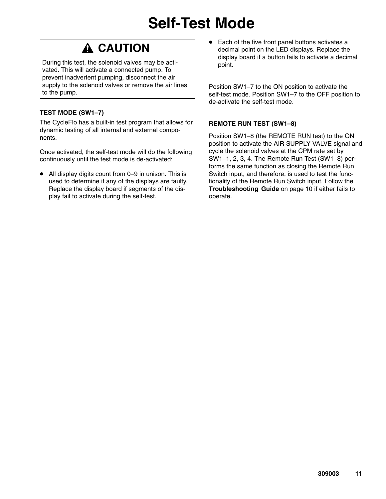## **Self-Test Mode**

### **A CAUTION**

During this test, the solenoid valves may be activated. This will activate a connected pump. To prevent inadvertent pumping, disconnect the air supply to the solenoid valves or remove the air lines to the pump.

#### **TEST MODE (SW1–7)**

The CycleFlo has a built-in test program that allows for dynamic testing of all internal and external components.

Once activated, the self-test mode will do the following continuously until the test mode is de-activated:

● All display digits count from 0–9 in unison. This is used to determine if any of the displays are faulty. Replace the display board if segments of the display fail to activate during the self-test.

 $\bullet$  Each of the five front panel buttons activates a decimal point on the LED displays. Replace the display board if a button fails to activate a decimal point.

Position SW1–7 to the ON position to activate the self-test mode. Position SW1–7 to the OFF position to de-activate the self-test mode.

#### **REMOTE RUN TEST (SW1–8)**

Position SW1–8 (the REMOTE RUN test) to the ON position to activate the AIR SUPPLY VALVE signal and cycle the solenoid valves at the CPM rate set by SW1–1, 2, 3, 4. The Remote Run Test (SW1–8) performs the same function as closing the Remote Run Switch input, and therefore, is used to test the functionality of the Remote Run Switch input. Follow the **Troubleshooting Guide** on page 10 if either fails to operate.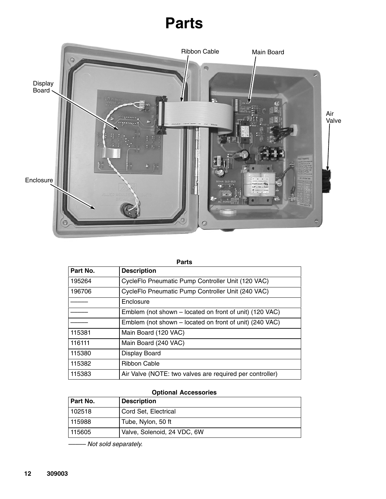## **Parts**



| <b>Parts</b> |                                                          |  |  |  |
|--------------|----------------------------------------------------------|--|--|--|
| Part No.     | <b>Description</b>                                       |  |  |  |
| 195264       | CycleFlo Pneumatic Pump Controller Unit (120 VAC)        |  |  |  |
| 196706       | CycleFlo Pneumatic Pump Controller Unit (240 VAC)        |  |  |  |
|              | Enclosure                                                |  |  |  |
|              | Emblem (not shown – located on front of unit) (120 VAC)  |  |  |  |
|              | Emblem (not shown – located on front of unit) (240 VAC)  |  |  |  |
| 115381       | Main Board (120 VAC)                                     |  |  |  |
| 116111       | Main Board (240 VAC)                                     |  |  |  |
| 115380       | Display Board                                            |  |  |  |
| 115382       | Ribbon Cable                                             |  |  |  |
| 115383       | Air Valve (NOTE: two valves are required per controller) |  |  |  |

#### **Optional Accessories**

| l Part No. | <b>Description</b>          |
|------------|-----------------------------|
| 102518     | Cord Set, Electrical        |
| 115988     | Tube, Nylon, 50 ft          |
| 115605     | Valve, Solenoid, 24 VDC, 6W |

*––––– Not sold separately.*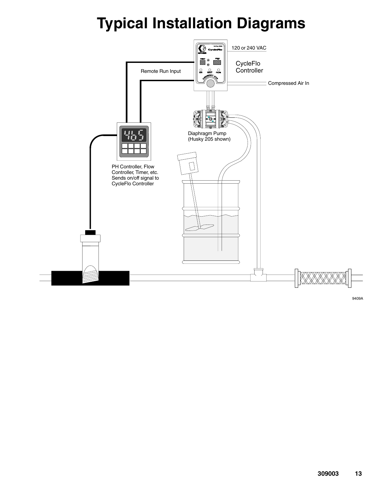

9409A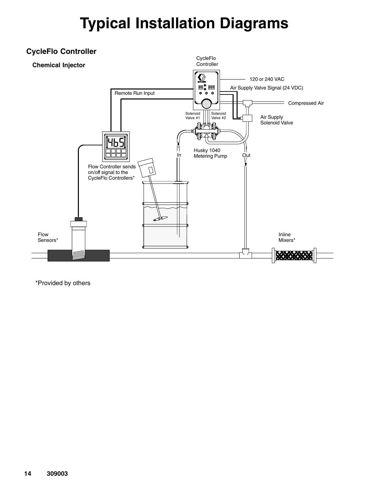

\*Provided by others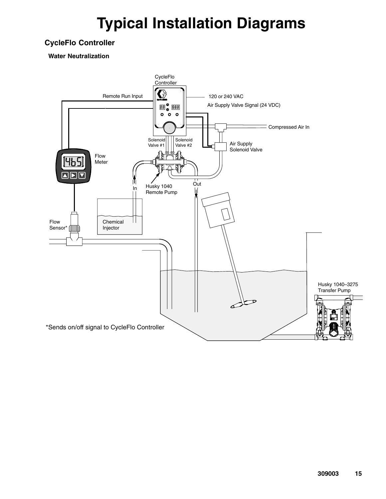#### **CycleFlo Controller**

**Water Neutralization**

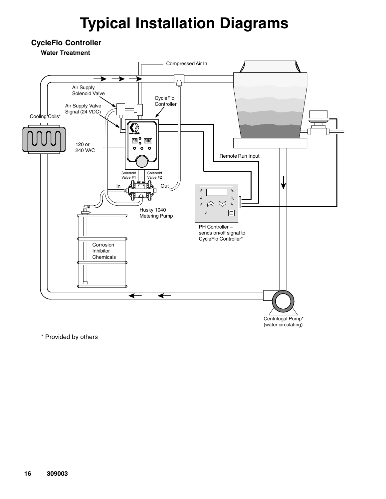

\* Provided by others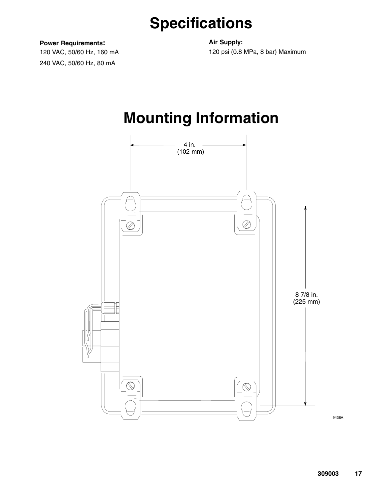## **Specifications**

**Power Requirements:**

120 VAC, 50/60 Hz, 160 mA 240 VAC, 50/60 Hz, 80 mA

**Air Supply:** 120 psi (0.8 MPa, 8 bar) Maximum

## **Mounting Information**



9438A